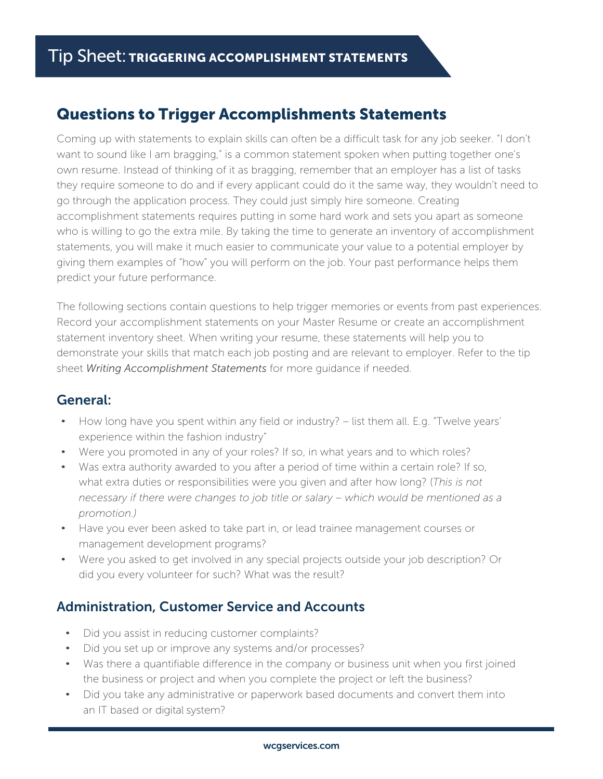# Questions to Trigger Accomplishments Statements

Coming up with statements to explain skills can often be a difficult task for any job seeker. "I don't want to sound like I am bragging," is a common statement spoken when putting together one's own resume. Instead of thinking of it as bragging, remember that an employer has a list of tasks they require someone to do and if every applicant could do it the same way, they wouldn't need to go through the application process. They could just simply hire someone. Creating accomplishment statements requires putting in some hard work and sets you apart as someone who is willing to go the extra mile. By taking the time to generate an inventory of accomplishment statements, you will make it much easier to communicate your value to a potential employer by giving them examples of "how" you will perform on the job. Your past performance helps them predict your future performance.

The following sections contain questions to help trigger memories or events from past experiences. Record your accomplishment statements on your Master Resume or create an accomplishment statement inventory sheet. When writing your resume, these statements will help you to demonstrate your skills that match each job posting and are relevant to employer. Refer to the tip sheet *Writing Accomplishment Statements* for more guidance if needed.

## General:

- How long have you spent within any field or industry? list them all. E.g. "Twelve years' experience within the fashion industry"
- Were you promoted in any of your roles? If so, in what years and to which roles?
- Was extra authority awarded to you after a period of time within a certain role? If so, what extra duties or responsibilities were you given and after how long? (*This is not necessary if there were changes to job title or salary – which would be mentioned as a promotion.)*
- Have you ever been asked to take part in, or lead trainee management courses or management development programs?
- Were you asked to get involved in any special projects outside your job description? Or did you every volunteer for such? What was the result?

## Administration, Customer Service and Accounts

- Did you assist in reducing customer complaints?
- Did you set up or improve any systems and/or processes?
- Was there a quantifiable difference in the company or business unit when you first joined the business or project and when you complete the project or left the business?
- Did you take any administrative or paperwork based documents and convert them into an IT based or digital system?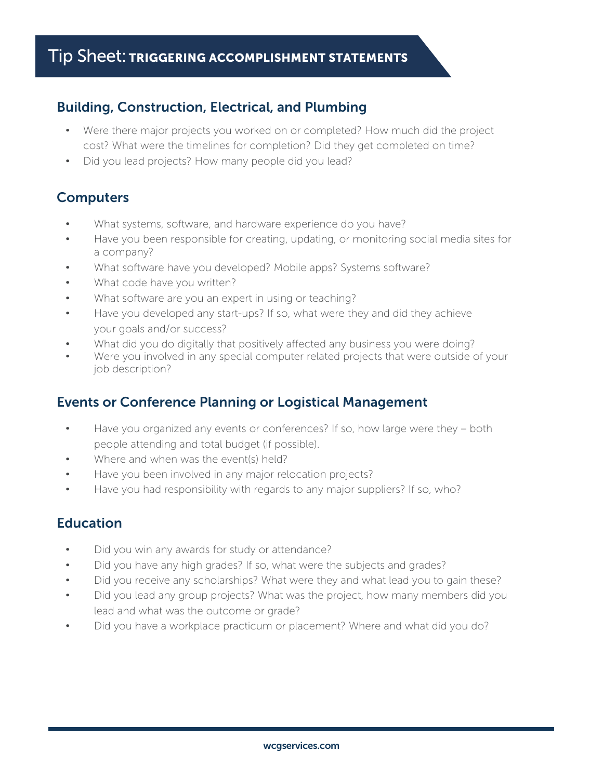## Building, Construction, Electrical, and Plumbing

- Were there major projects you worked on or completed? How much did the project cost? What were the timelines for completion? Did they get completed on time?
- Did you lead projects? How many people did you lead?

## **Computers**

- What systems, software, and hardware experience do you have?
- Have you been responsible for creating, updating, or monitoring social media sites for a company?
- What software have you developed? Mobile apps? Systems software?
- What code have you written?
- What software are you an expert in using or teaching?
- Have you developed any start-ups? If so, what were they and did they achieve your goals and/or success?
- What did you do digitally that positively affected any business you were doing?
- Were you involved in any special computer related projects that were outside of your job description?

## Events or Conference Planning or Logistical Management

- Have you organized any events or conferences? If so, how large were they both people attending and total budget (if possible).
- Where and when was the event(s) held?
- Have you been involved in any major relocation projects?
- Have you had responsibility with regards to any major suppliers? If so, who?

# **Education**

- Did you win any awards for study or attendance?
- Did you have any high grades? If so, what were the subjects and grades?
- Did you receive any scholarships? What were they and what lead you to gain these?
- Did you lead any group projects? What was the project, how many members did you lead and what was the outcome or grade?
- Did you have a workplace practicum or placement? Where and what did you do?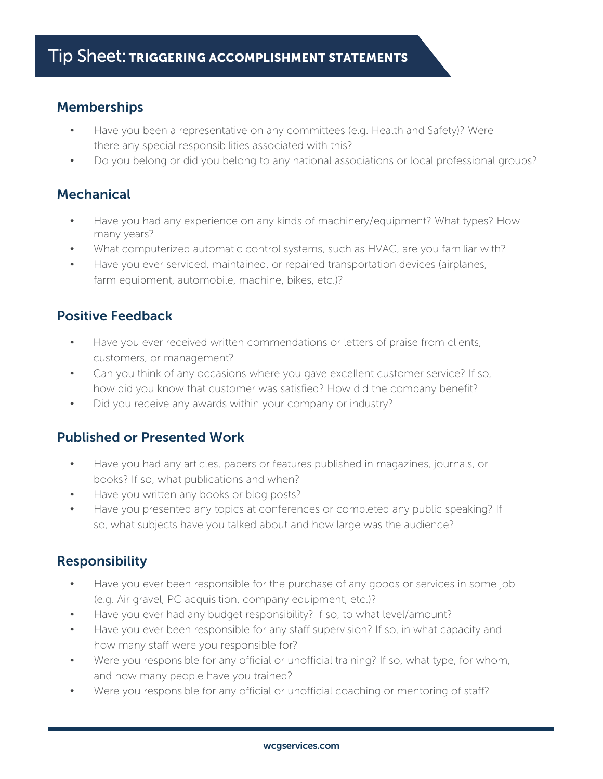## Memberships

- Have you been a representative on any committees (e.g. Health and Safety)? Were there any special responsibilities associated with this?
- Do you belong or did you belong to any national associations or local professional groups?

## **Mechanical**

- Have you had any experience on any kinds of machinery/equipment? What types? How many years?
- What computerized automatic control systems, such as HVAC, are you familiar with?
- Have you ever serviced, maintained, or repaired transportation devices (airplanes, farm equipment, automobile, machine, bikes, etc.)?

## Positive Feedback

- Have you ever received written commendations or letters of praise from clients, customers, or management?
- Can you think of any occasions where you gave excellent customer service? If so, how did you know that customer was satisfied? How did the company benefit?
- Did you receive any awards within your company or industry?

## Published or Presented Work

- Have you had any articles, papers or features published in magazines, journals, or books? If so, what publications and when?
- Have you written any books or blog posts?
- Have you presented any topics at conferences or completed any public speaking? If so, what subjects have you talked about and how large was the audience?

## Responsibility

- Have you ever been responsible for the purchase of any goods or services in some job (e.g. Air gravel, PC acquisition, company equipment, etc.)?
- Have you ever had any budget responsibility? If so, to what level/amount?
- Have you ever been responsible for any staff supervision? If so, in what capacity and how many staff were you responsible for?
- Were you responsible for any official or unofficial training? If so, what type, for whom, and how many people have you trained?
- Were you responsible for any official or unofficial coaching or mentoring of staff?